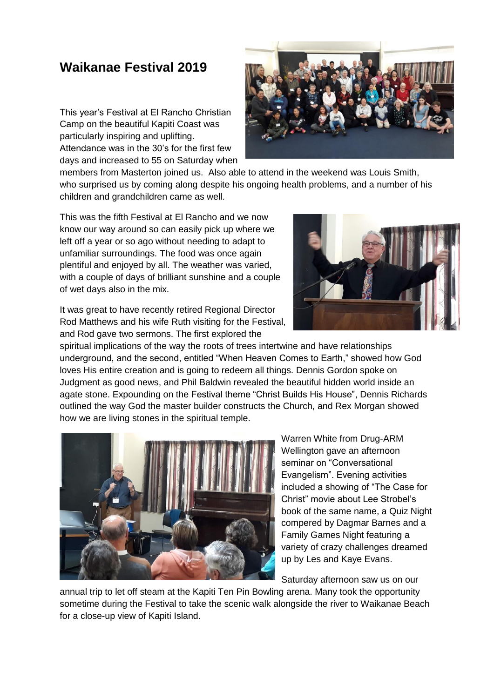## **Waikanae Festival 2019**

This year's Festival at El Rancho Christian Camp on the beautiful Kapiti Coast was particularly inspiring and uplifting. Attendance was in the 30's for the first few days and increased to 55 on Saturday when



members from Masterton joined us. Also able to attend in the weekend was Louis Smith, who surprised us by coming along despite his ongoing health problems, and a number of his children and grandchildren came as well.

This was the fifth Festival at El Rancho and we now know our way around so can easily pick up where we left off a year or so ago without needing to adapt to unfamiliar surroundings. The food was once again plentiful and enjoyed by all. The weather was varied, with a couple of days of brilliant sunshine and a couple of wet days also in the mix.

It was great to have recently retired Regional Director Rod Matthews and his wife Ruth visiting for the Festival, and Rod gave two sermons. The first explored the



spiritual implications of the way the roots of trees intertwine and have relationships underground, and the second, entitled "When Heaven Comes to Earth," showed how God loves His entire creation and is going to redeem all things. Dennis Gordon spoke on Judgment as good news, and Phil Baldwin revealed the beautiful hidden world inside an agate stone. Expounding on the Festival theme "Christ Builds His House", Dennis Richards outlined the way God the master builder constructs the Church, and Rex Morgan showed how we are living stones in the spiritual temple.



Warren White from Drug-ARM Wellington gave an afternoon seminar on "Conversational Evangelism". Evening activities included a showing of "The Case for Christ" movie about Lee Strobel's book of the same name, a Quiz Night compered by Dagmar Barnes and a Family Games Night featuring a variety of crazy challenges dreamed up by Les and Kaye Evans.

Saturday afternoon saw us on our

annual trip to let off steam at the Kapiti Ten Pin Bowling arena. Many took the opportunity sometime during the Festival to take the scenic walk alongside the river to Waikanae Beach for a close-up view of Kapiti Island.